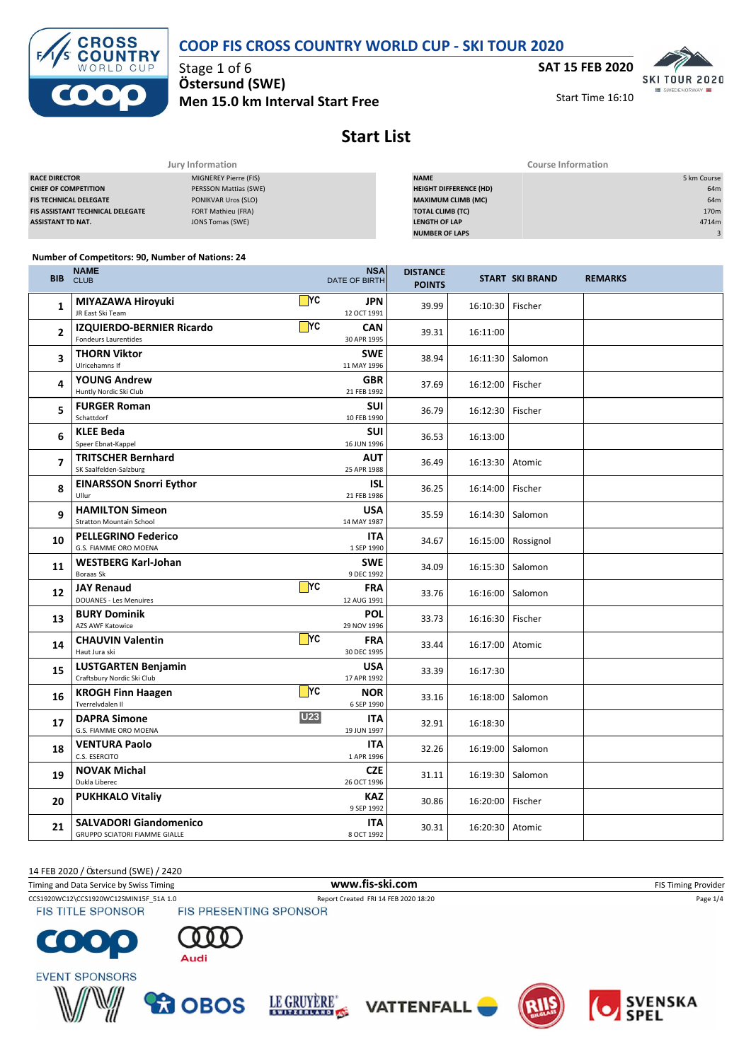



Stage 1 of 6 **Ö stersund (SWE) Men 15.0 km Interval Start Free** **SAT 15 FEB 2020 SKL TOUR 2020** 

Start Time 16:10

**SWEDENORY** 



| Jury Information                        |                            | <b>Course Information</b>     |                  |  |  |
|-----------------------------------------|----------------------------|-------------------------------|------------------|--|--|
| <b>RACE DIRECTOR</b>                    | MIGNEREY Pierre (FIS)      | <b>NAME</b>                   | 5 km Course      |  |  |
| <b>CHIEF OF COMPETITION</b>             | PERSSON Mattias (SWE)      | <b>HEIGHT DIFFERENCE (HD)</b> | 64m              |  |  |
| <b>FIS TECHNICAL DELEGATE</b>           | <b>PONIKVAR Uros (SLO)</b> | <b>MAXIMUM CLIMB (MC)</b>     | 64m              |  |  |
| <b>FIS ASSISTANT TECHNICAL DELEGATE</b> | FORT Mathieu (FRA)         | <b>TOTAL CLIMB (TC)</b>       | 170 <sub>m</sub> |  |  |
| <b>ASSISTANT TD NAT.</b>                | JONS Tomas (SWE)           | <b>LENGTH OF LAP</b>          | 4714m            |  |  |
|                                         |                            | <b>NUMBER OF LAPS</b>         |                  |  |  |

#### **Number of Competitors: 90, Number of Nations: 24**

| <b>BIB</b> | NAME<br><b>CLUB</b>                                             |                 | <b>NSA</b><br>DATE OF BIRTH | <b>DISTANCE</b><br><b>POINTS</b> |          | <b>START SKI BRAND</b> | <b>REMARKS</b> |
|------------|-----------------------------------------------------------------|-----------------|-----------------------------|----------------------------------|----------|------------------------|----------------|
| 1          | MIYAZAWA Hiroyuki<br>JR East Ski Team                           | $\mathsf{T}$ YC | <b>JPN</b><br>12 OCT 1991   | 39.99                            | 16:10:30 | Fischer                |                |
| 2          | <b>IZQUIERDO-BERNIER Ricardo</b><br><b>Fondeurs Laurentides</b> | $\mathsf{T}$ YC | <b>CAN</b><br>30 APR 1995   | 39.31                            | 16:11:00 |                        |                |
| 3          | <b>THORN Viktor</b><br>Ulricehamns If                           |                 | <b>SWE</b><br>11 MAY 1996   | 38.94                            | 16:11:30 | Salomon                |                |
| 4          | <b>YOUNG Andrew</b><br>Huntly Nordic Ski Club                   |                 | <b>GBR</b><br>21 FEB 1992   | 37.69                            | 16:12:00 | Fischer                |                |
| 5          | <b>FURGER Roman</b><br>Schattdorf                               |                 | <b>SUI</b><br>10 FEB 1990   | 36.79                            | 16:12:30 | Fischer                |                |
| 6          | <b>KLEE Beda</b><br>Speer Ebnat-Kappel                          |                 | <b>SUI</b><br>16 JUN 1996   | 36.53                            | 16:13:00 |                        |                |
| 7          | <b>TRITSCHER Bernhard</b><br>SK Saalfelden-Salzburg             |                 | <b>AUT</b><br>25 APR 1988   | 36.49                            | 16:13:30 | Atomic                 |                |
| 8          | <b>EINARSSON Snorri Eythor</b><br>Ullur                         |                 | <b>ISL</b><br>21 FEB 1986   | 36.25                            | 16:14:00 | Fischer                |                |
| 9          | <b>HAMILTON Simeon</b><br><b>Stratton Mountain School</b>       |                 | <b>USA</b><br>14 MAY 1987   | 35.59                            | 16:14:30 | Salomon                |                |
| 10         | <b>PELLEGRINO Federico</b><br>G.S. FIAMME ORO MOENA             |                 | <b>ITA</b><br>1 SEP 1990    | 34.67                            | 16:15:00 | Rossignol              |                |
| 11         | <b>WESTBERG Karl-Johan</b><br>Boraas Sk                         |                 | <b>SWE</b><br>9 DEC 1992    | 34.09                            | 16:15:30 | Salomon                |                |
| 12         | <b>JAY Renaud</b><br><b>DOUANES - Les Menuires</b>              | $\mathsf{T}$ YC | <b>FRA</b><br>12 AUG 1991   | 33.76                            | 16:16:00 | Salomon                |                |
| 13         | <b>BURY Dominik</b><br>AZS AWF Katowice                         |                 | POL<br>29 NOV 1996          | 33.73                            | 16:16:30 | Fischer                |                |
| 14         | <b>CHAUVIN Valentin</b><br>Haut Jura ski                        | $\Box$ YC       | <b>FRA</b><br>30 DEC 1995   | 33.44                            | 16:17:00 | Atomic                 |                |
| 15         | <b>LUSTGARTEN Benjamin</b><br>Craftsbury Nordic Ski Club        |                 | <b>USA</b><br>17 APR 1992   | 33.39                            | 16:17:30 |                        |                |
| 16         | <b>KROGH Finn Haagen</b><br>Tverrelvdalen II                    | $\mathsf{T}$ YC | <b>NOR</b><br>6 SEP 1990    | 33.16                            | 16:18:00 | Salomon                |                |
| 17         | <b>DAPRA Simone</b><br>G.S. FIAMME ORO MOENA                    | <b>U23</b>      | <b>ITA</b><br>19 JUN 1997   | 32.91                            | 16:18:30 |                        |                |
| 18         | <b>VENTURA Paolo</b><br>C.S. ESERCITO                           |                 | <b>ITA</b><br>1 APR 1996    | 32.26                            | 16:19:00 | Salomon                |                |
| 19         | <b>NOVAK Michal</b><br>Dukla Liberec                            |                 | <b>CZE</b><br>26 OCT 1996   | 31.11                            | 16:19:30 | Salomon                |                |
| 20         | <b>PUKHKALO Vitaliy</b>                                         |                 | <b>KAZ</b><br>9 SEP 1992    | 30.86                            | 16:20:00 | Fischer                |                |
| 21         | <b>SALVADORI Giandomenico</b><br>GRUPPO SCIATORI FIAMME GIALLE  |                 | <b>ITA</b><br>8 OCT 1992    | 30.31                            | 16:20:30 | Atomic                 |                |

14 FEB 2020 / Östersund (SWE) / 2420

Timing and Data Service by Swiss Timing **WWW.fis-Ski.com WWW.fis-Ski.com** FIS Timing Provider CCS1920WC12\CCS1920WC12SMIN15F\_51A 1.0 Report Created FRI 14 FEB 2020 18:20<br>
FIS TITLE SPONSOR FIS PRESENTING SPONSOR **FIS TITLE SPONSOR** 













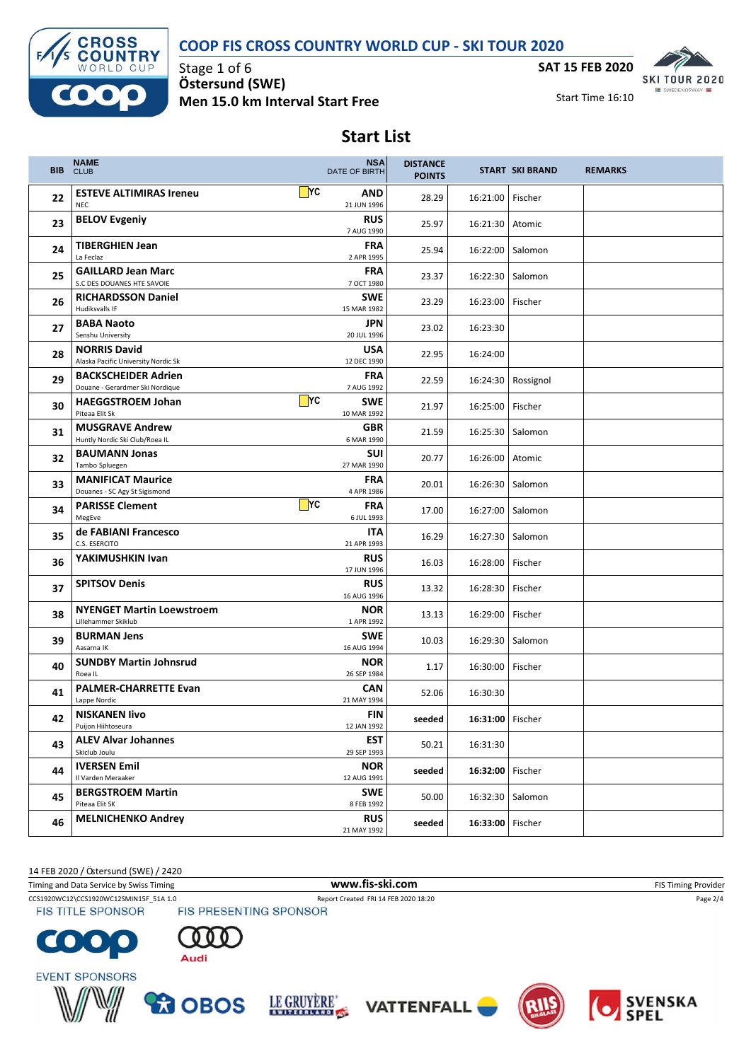### **COOP FIS CROSS COUNTRY WORLD CUP - SKI TOUR 2020**



Stage 1 of 6 **Ö stersund (SWE) Men 15.0 km Interval Start Free**



Start Time 16:10

# **Start List**

| <b>BIB</b> | <b>NAME</b><br><b>CLUB</b>                                    | <b>NSA</b><br>DATE OF BIRTH            | <b>DISTANCE</b><br><b>POINTS</b> |                    | <b>START SKI BRAND</b> | <b>REMARKS</b> |
|------------|---------------------------------------------------------------|----------------------------------------|----------------------------------|--------------------|------------------------|----------------|
| 22         | <b>ESTEVE ALTIMIRAS Ireneu</b><br><b>NEC</b>                  | $\Box$ YC<br>AND<br>21 JUN 1996        | 28.29                            | 16:21:00           | Fischer                |                |
| 23         | <b>BELOV Evgeniy</b>                                          | <b>RUS</b><br>7 AUG 1990               | 25.97                            | 16:21:30           | Atomic                 |                |
| 24         | <b>TIBERGHIEN Jean</b><br>La Feclaz                           | <b>FRA</b><br>2 APR 1995               | 25.94                            | 16:22:00           | Salomon                |                |
| 25         | <b>GAILLARD Jean Marc</b><br>S.C DES DOUANES HTE SAVOIE       | <b>FRA</b><br>7 OCT 1980               | 23.37                            | 16:22:30           | Salomon                |                |
| 26         | <b>RICHARDSSON Daniel</b><br>Hudiksvalls IF                   | SWE<br>15 MAR 1982                     | 23.29                            | 16:23:00           | Fischer                |                |
| 27         | <b>BABA Naoto</b><br>Senshu University                        | <b>JPN</b><br>20 JUL 1996              | 23.02                            | 16:23:30           |                        |                |
| 28         | <b>NORRIS David</b><br>Alaska Pacific University Nordic Sk    | <b>USA</b><br>12 DEC 1990              | 22.95                            | 16:24:00           |                        |                |
| 29         | <b>BACKSCHEIDER Adrien</b><br>Douane - Gerardmer Ski Nordique | <b>FRA</b><br>7 AUG 1992               | 22.59                            | 16:24:30           | Rossignol              |                |
| 30         | <b>HAEGGSTROEM Johan</b><br>Piteaa Elit Sk                    | $\Box$ YC<br><b>SWE</b><br>10 MAR 1992 | 21.97                            | 16:25:00           | Fischer                |                |
| 31         | <b>MUSGRAVE Andrew</b><br>Huntly Nordic Ski Club/Roea IL      | <b>GBR</b><br>6 MAR 1990               | 21.59                            | 16:25:30           | Salomon                |                |
| 32         | <b>BAUMANN Jonas</b><br>Tambo Spluegen                        | <b>SUI</b><br>27 MAR 1990              | 20.77                            | 16:26:00           | Atomic                 |                |
| 33         | <b>MANIFICAT Maurice</b><br>Douanes - SC Agy St Sigismond     | <b>FRA</b><br>4 APR 1986               | 20.01                            | 16:26:30           | Salomon                |                |
| 34         | <b>PARISSE Clement</b><br>MegEve                              | $\Box$ YC<br><b>FRA</b><br>6 JUL 1993  | 17.00                            | 16:27:00           | Salomon                |                |
| 35         | de FABIANI Francesco<br>C.S. ESERCITO                         | <b>ITA</b><br>21 APR 1993              | 16.29                            | 16:27:30           | Salomon                |                |
| 36         | YAKIMUSHKIN Ivan                                              | <b>RUS</b><br>17 JUN 1996              | 16.03                            | 16:28:00           | Fischer                |                |
| 37         | <b>SPITSOV Denis</b>                                          | <b>RUS</b><br>16 AUG 1996              | 13.32                            | 16:28:30           | Fischer                |                |
| 38         | <b>NYENGET Martin Loewstroem</b><br>Lillehammer Skiklub       | <b>NOR</b><br>1 APR 1992               | 13.13                            | 16:29:00           | Fischer                |                |
| 39         | <b>BURMAN Jens</b><br>Aasarna IK                              | <b>SWE</b><br>16 AUG 1994              | 10.03                            | 16:29:30           | Salomon                |                |
| 40         | <b>SUNDBY Martin Johnsrud</b><br>Roea IL                      | <b>NOR</b><br>26 SEP 1984              | 1.17                             | 16:30:00           | Fischer                |                |
| 41         | <b>PALMER-CHARRETTE Evan</b><br>Lappe Nordic                  | <b>CAN</b><br>21 MAY 1994              | 52.06                            | 16:30:30           |                        |                |
| 42         | <b>NISKANEN livo</b><br>Puijon Hiihtoseura                    | FIN<br>12 JAN 1992                     | seeded                           | 16:31:00   Fischer |                        |                |
| 43         | <b>ALEV Alvar Johannes</b><br>Skiclub Joulu                   | <b>EST</b><br>29 SEP 1993              | 50.21                            | 16:31:30           |                        |                |
| 44         | <b>IVERSEN Emil</b><br>Il Varden Meraaker                     | <b>NOR</b><br>12 AUG 1991              | seeded                           | 16:32:00   Fischer |                        |                |
| 45         | <b>BERGSTROEM Martin</b><br>Piteaa Elit SK                    | <b>SWE</b><br>8 FEB 1992               | 50.00                            | 16:32:30           | Salomon                |                |
| 46         | <b>MELNICHENKO Andrey</b>                                     | <b>RUS</b><br>21 MAY 1992              | seeded                           | 16:33:00 Fischer   |                        |                |

14 FEB 2020 / Östersund (SWE) / 2420

Timing and Data Service by Swiss Timing **WWW.fis-Ski.com WWW.fis-Ski.com** FIS Timing Provider CCS1920WC12\CCS1920WC12SMIN15F\_51A 1.0 Report Created FRI 14 FEB 2020 18:20<br>
FIS TITLE SPONSOR FIS PRESENTING SPONSOR **FIS TITLE SPONSOR** 















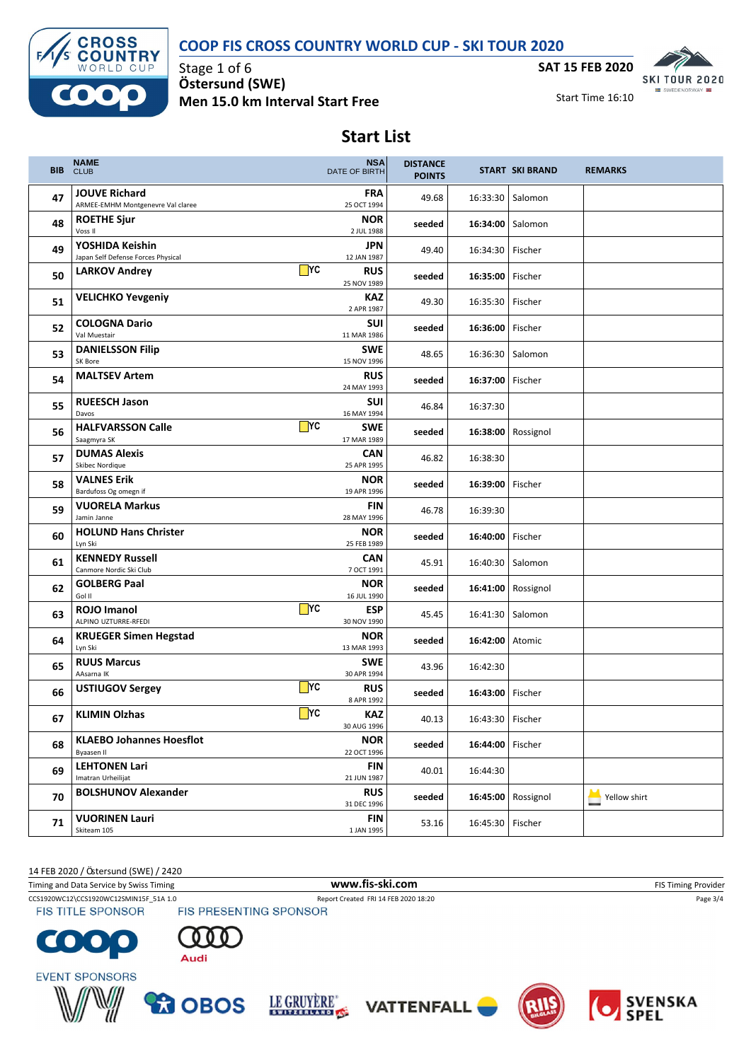### **COOP FIS CROSS COUNTRY WORLD CUP - SKI TOUR 2020**



Stage 1 of 6 **Ö stersund (SWE) Men 15.0 km Interval Start Free**



Start Time 16:10

# **Start List**

| BIB. | <b>NAME</b><br><b>CLUB</b>                                | <b>NSA</b><br><b>DATE OF BIRTH</b>             | <b>DISTANCE</b><br><b>POINTS</b> |                    | <b>START SKI BRAND</b> | <b>REMARKS</b> |
|------|-----------------------------------------------------------|------------------------------------------------|----------------------------------|--------------------|------------------------|----------------|
| 47   | <b>JOUVE Richard</b><br>ARMEE-EMHM Montgenevre Val claree | <b>FRA</b><br>25 OCT 1994                      | 49.68                            | 16:33:30           | Salomon                |                |
| 48   | <b>ROETHE Sjur</b><br>Voss II                             | <b>NOR</b><br>2 JUL 1988                       | seeded                           | 16:34:00           | Salomon                |                |
| 49   | YOSHIDA Keishin<br>Japan Self Defense Forces Physical     | <b>JPN</b><br>12 JAN 1987                      | 49.40                            | 16:34:30           | Fischer                |                |
| 50   | <b>LARKOV Andrey</b>                                      | $\blacksquare$ YC<br><b>RUS</b><br>25 NOV 1989 | seeded                           | 16:35:00           | Fischer                |                |
| 51   | <b>VELICHKO Yevgeniy</b>                                  | <b>KAZ</b><br>2 APR 1987                       | 49.30                            | 16:35:30           | Fischer                |                |
| 52   | <b>COLOGNA Dario</b><br>Val Muestair                      | <b>SUI</b><br>11 MAR 1986                      | seeded                           | 16:36:00           | Fischer                |                |
| 53   | <b>DANIELSSON Filip</b><br>SK Bore                        | <b>SWE</b><br>15 NOV 1996                      | 48.65                            | 16:36:30           | Salomon                |                |
| 54   | <b>MALTSEV Artem</b>                                      | <b>RUS</b><br>24 MAY 1993                      | seeded                           | 16:37:00           | Fischer                |                |
| 55   | <b>RUEESCH Jason</b><br>Davos                             | <b>SUI</b><br>16 MAY 1994                      | 46.84                            | 16:37:30           |                        |                |
| 56   | <b>HALFVARSSON Calle</b><br>Saagmyra SK                   | $\Box$ YC<br><b>SWE</b><br>17 MAR 1989         | seeded                           | 16:38:00           | Rossignol              |                |
| 57   | <b>DUMAS Alexis</b><br>Skibec Nordique                    | <b>CAN</b><br>25 APR 1995                      | 46.82                            | 16:38:30           |                        |                |
| 58   | <b>VALNES Erik</b><br>Bardufoss Og omegn if               | <b>NOR</b><br>19 APR 1996                      | seeded                           | 16:39:00           | Fischer                |                |
| 59   | <b>VUORELA Markus</b><br>Jamin Janne                      | <b>FIN</b><br>28 MAY 1996                      | 46.78                            | 16:39:30           |                        |                |
| 60   | <b>HOLUND Hans Christer</b><br>Lyn Ski                    | <b>NOR</b><br>25 FEB 1989                      | seeded                           | 16:40:00           | Fischer                |                |
| 61   | <b>KENNEDY Russell</b><br>Canmore Nordic Ski Club         | <b>CAN</b><br>7 OCT 1991                       | 45.91                            | 16:40:30           | Salomon                |                |
| 62   | <b>GOLBERG Paal</b><br>Gol II                             | <b>NOR</b><br>16 JUL 1990                      | seeded                           | 16:41:00           | Rossignol              |                |
| 63   | <b>ROJO Imanol</b><br>ALPINO UZTURRE-RFEDI                | $\Box$ YC<br>ESP<br>30 NOV 1990                | 45.45                            | 16:41:30           | Salomon                |                |
| 64   | <b>KRUEGER Simen Hegstad</b><br>Lyn Ski                   | <b>NOR</b><br>13 MAR 1993                      | seeded                           | 16:42:00           | Atomic                 |                |
| 65   | <b>RUUS Marcus</b><br>AAsarna IK                          | SWE<br>30 APR 1994                             | 43.96                            | 16:42:30           |                        |                |
| 66   | <b>USTIUGOV Sergey</b>                                    | $\Box$ YC<br><b>RUS</b><br>8 APR 1992          | seeded                           | 16:43:00           | Fischer                |                |
| 67   | <b>KLIMIN Olzhas</b>                                      | $\mathsf{T}$ YC<br><b>KAZ</b><br>30 AUG 1996   | 40.13                            | 16:43:30   Fischer |                        |                |
| 68   | <b>KLAEBO Johannes Hoesflot</b><br>Byaasen II             | <b>NOR</b><br>22 OCT 1996                      | seeded                           | 16:44:00   Fischer |                        |                |
| 69   | <b>LEHTONEN Lari</b><br>Imatran Urheilijat                | <b>FIN</b><br>21 JUN 1987                      | 40.01                            | 16:44:30           |                        |                |
| 70   | <b>BOLSHUNOV Alexander</b>                                | <b>RUS</b><br>31 DEC 1996                      | seeded                           | 16:45:00           | Rossignol              | Yellow shirt   |
| 71   | <b>VUORINEN Lauri</b><br>Skiteam 105                      | <b>FIN</b><br>1 JAN 1995                       | 53.16                            | 16:45:30   Fischer |                        |                |

14 FEB 2020 / Östersund (SWE) / 2420

Timing and Data Service by Swiss Timing **WWW.fis-Ski.com WWW.fis-Ski.com** FIS Timing Provider CCS1920WC12\CCS1920WC12SMIN15F\_51A 1.0 Report Created FRI 14 FEB 2020 18:20<br>
FIS TITLE SPONSOR FIS PRESENTING SPONSOR **FIS TITLE SPONSOR** C  $\bullet$ 















SVENSKA<br>SPEL